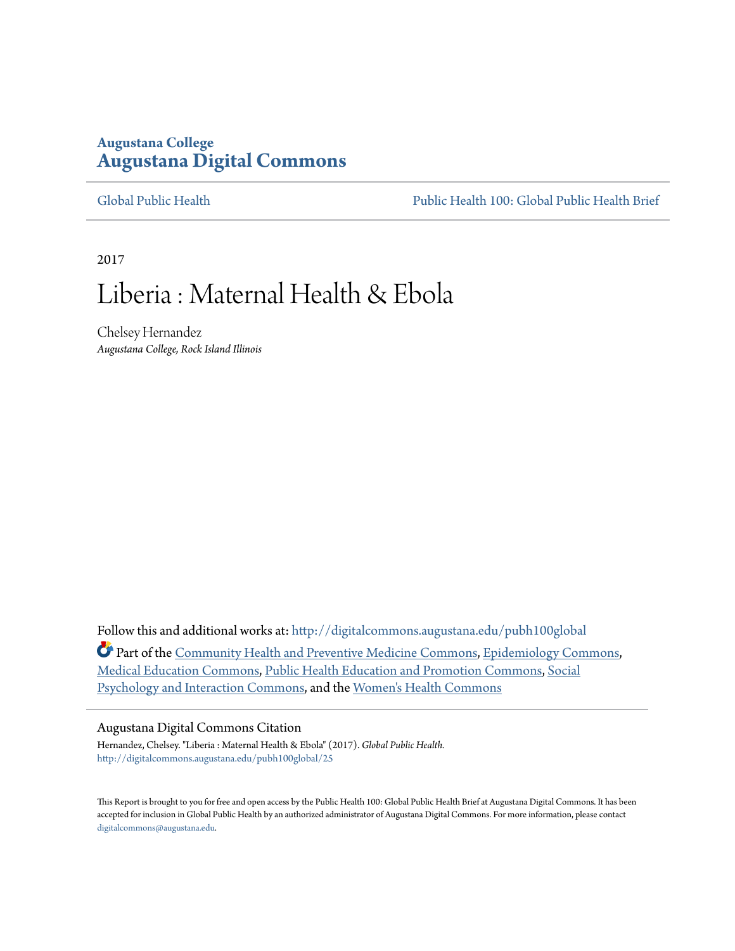## **Augustana College [Augustana Digital Commons](http://digitalcommons.augustana.edu?utm_source=digitalcommons.augustana.edu%2Fpubh100global%2F25&utm_medium=PDF&utm_campaign=PDFCoverPages)**

[Global Public Health](http://digitalcommons.augustana.edu/pubh100global?utm_source=digitalcommons.augustana.edu%2Fpubh100global%2F25&utm_medium=PDF&utm_campaign=PDFCoverPages) [Public Health 100: Global Public Health Brief](http://digitalcommons.augustana.edu/pubh100?utm_source=digitalcommons.augustana.edu%2Fpubh100global%2F25&utm_medium=PDF&utm_campaign=PDFCoverPages)

2017

# Liberia : Maternal Health & Ebola

Chelsey Hernandez *Augustana College, Rock Island Illinois*

Follow this and additional works at: [http://digitalcommons.augustana.edu/pubh100global](http://digitalcommons.augustana.edu/pubh100global?utm_source=digitalcommons.augustana.edu%2Fpubh100global%2F25&utm_medium=PDF&utm_campaign=PDFCoverPages) Part of the [Community Health and Preventive Medicine Commons,](http://network.bepress.com/hgg/discipline/744?utm_source=digitalcommons.augustana.edu%2Fpubh100global%2F25&utm_medium=PDF&utm_campaign=PDFCoverPages) [Epidemiology Commons](http://network.bepress.com/hgg/discipline/740?utm_source=digitalcommons.augustana.edu%2Fpubh100global%2F25&utm_medium=PDF&utm_campaign=PDFCoverPages), [Medical Education Commons](http://network.bepress.com/hgg/discipline/1125?utm_source=digitalcommons.augustana.edu%2Fpubh100global%2F25&utm_medium=PDF&utm_campaign=PDFCoverPages), [Public Health Education and Promotion Commons,](http://network.bepress.com/hgg/discipline/743?utm_source=digitalcommons.augustana.edu%2Fpubh100global%2F25&utm_medium=PDF&utm_campaign=PDFCoverPages) [Social](http://network.bepress.com/hgg/discipline/430?utm_source=digitalcommons.augustana.edu%2Fpubh100global%2F25&utm_medium=PDF&utm_campaign=PDFCoverPages) [Psychology and Interaction Commons,](http://network.bepress.com/hgg/discipline/430?utm_source=digitalcommons.augustana.edu%2Fpubh100global%2F25&utm_medium=PDF&utm_campaign=PDFCoverPages) and the [Women's Health Commons](http://network.bepress.com/hgg/discipline/1241?utm_source=digitalcommons.augustana.edu%2Fpubh100global%2F25&utm_medium=PDF&utm_campaign=PDFCoverPages)

#### Augustana Digital Commons Citation

Hernandez, Chelsey. "Liberia : Maternal Health & Ebola" (2017). *Global Public Health.* [http://digitalcommons.augustana.edu/pubh100global/25](http://digitalcommons.augustana.edu/pubh100global/25?utm_source=digitalcommons.augustana.edu%2Fpubh100global%2F25&utm_medium=PDF&utm_campaign=PDFCoverPages)

This Report is brought to you for free and open access by the Public Health 100: Global Public Health Brief at Augustana Digital Commons. It has been accepted for inclusion in Global Public Health by an authorized administrator of Augustana Digital Commons. For more information, please contact [digitalcommons@augustana.edu.](mailto:digitalcommons@augustana.edu)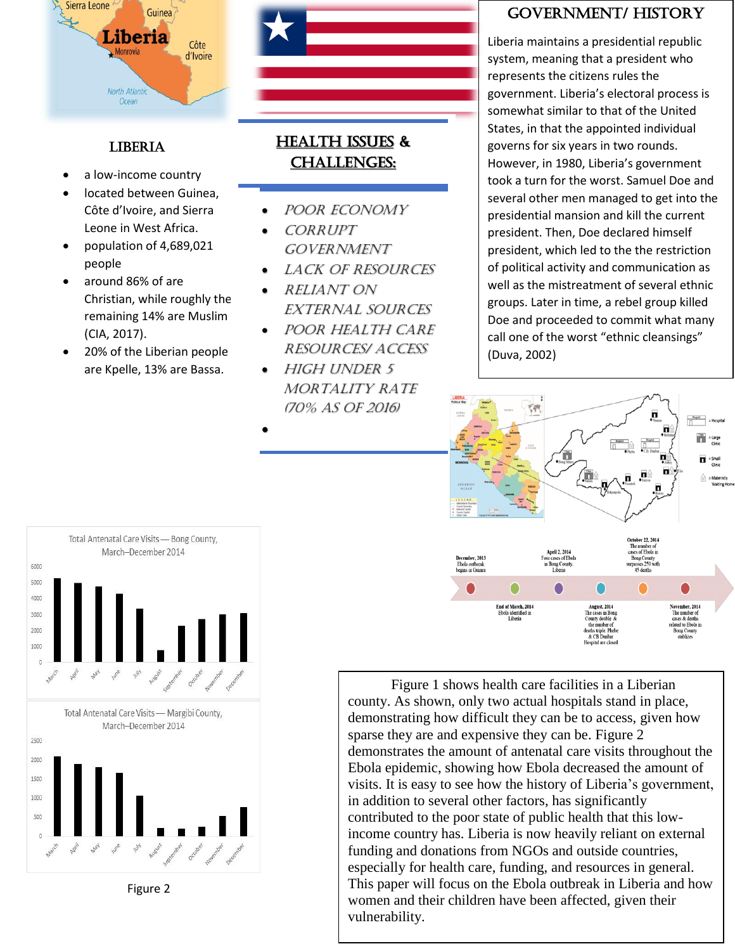

## **LIBERIA**

- a low-income country
- located between Guinea, Côte d'Ivoire, and Sierra Leone in West Africa.
- population of 4,689,021 people
- around 86% of are Christian, while roughly the remaining 14% are Muslim (CIA, 2017).
- 20% of the Liberian people are Kpelle, 13% are Bassa.

# HEALTH ISSUES & CHALLENGES:

- Poor economy
- Corrupt **GOVERNMENT**
- LACK OF RESOURCES
- Reliant on external sources
- Poor health care resources/ access
- High under 5 MORTALITY RATE (70% as of 2016)
- •

# Government/ HISTORY

Liberia maintains a presidential republic system, meaning that a president who represents the citizens rules the government. Liberia's electoral process is somewhat similar to that of the United States, in that the appointed individual governs for six years in two rounds. However, in 1980, Liberia's government took a turn for the worst. Samuel Doe and several other men managed to get into the presidential mansion and kill the current president. Then, Doe declared himself president, which led to the the restriction of political activity and communication as well as the mistreatment of several ethnic groups. Later in time, a rebel group killed Doe and proceeded to commit what many call one of the worst "ethnic cleansings" (Duva, 2002)



funding and donations from NGOs and outside countries, Figure 1 shows health care facilities in a Liberian county. As shown, only two actual hospitals stand in place, demonstrating how difficult they can be to access, given how sparse they are and expensive they can be. Figure 2 demonstrates the amount of antenatal care visits throughout the Ebola epidemic, showing how Ebola decreased the amount of visits. It is easy to see how the history of Liberia's government, in addition to several other factors, has significantly contributed to the poor state of public health that this lowincome country has. Liberia is now heavily reliant on external especially for health care, funding, and resources in general. This paper will focus on the Ebola outbreak in Liberia and how women and their children have been affected, given their vulnerability.



Figure 2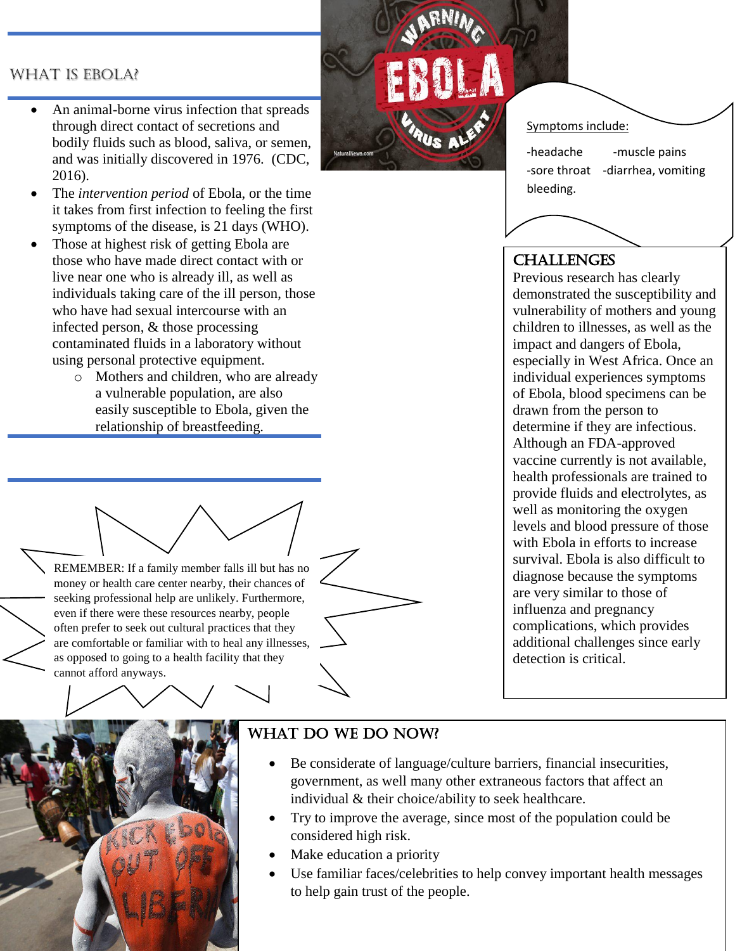### WHAT IS EBOLA?

- An animal-borne virus infection that spreads through direct contact of secretions and bodily fluids such as blood, saliva, or semen, and was initially discovered in 1976. (CDC, 2016).
- The *intervention period* of Ebola, or the time it takes from first infection to feeling the first symptoms of the disease, is 21 days (WHO).
- Those at highest risk of getting Ebola are those who have made direct contact with or live near one who is already ill, as well as individuals taking care of the ill person, those who have had sexual intercourse with an infected person, & those processing contaminated fluids in a laboratory without using personal protective equipment.
	- o Mothers and children, who are already a vulnerable population, are also easily susceptible to Ebola, given the relationship of breastfeeding.



#### Symptoms include:

-headache -muscle pains -sore throat -diarrhea, vomiting bleeding.

## **CHALLENGES**

Previous research has clearly demonstrated the susceptibility and vulnerability of mothers and young children to illnesses, as well as the impact and dangers of Ebola, especially in West Africa. Once an individual experiences symptoms of Ebola, blood specimens can be drawn from the person to determine if they are infectious. Although an FDA-approved vaccine currently is not available, health professionals are trained to provide fluids and electrolytes, as well as monitoring the oxygen levels and blood pressure of those with Ebola in efforts to increase survival. Ebola is also difficult to diagnose because the symptoms are very similar to those of influenza and pregnancy complications, which provides additional challenges since early detection is critical.





## WHAT DO WE DO NOW?

- Be considerate of language/culture barriers, financial insecurities, government, as well many other extraneous factors that affect an individual & their choice/ability to seek healthcare.
- Try to improve the average, since most of the population could be considered high risk.
- Make education a priority
- Use familiar faces/celebrities to help convey important health messages to help gain trust of the people.